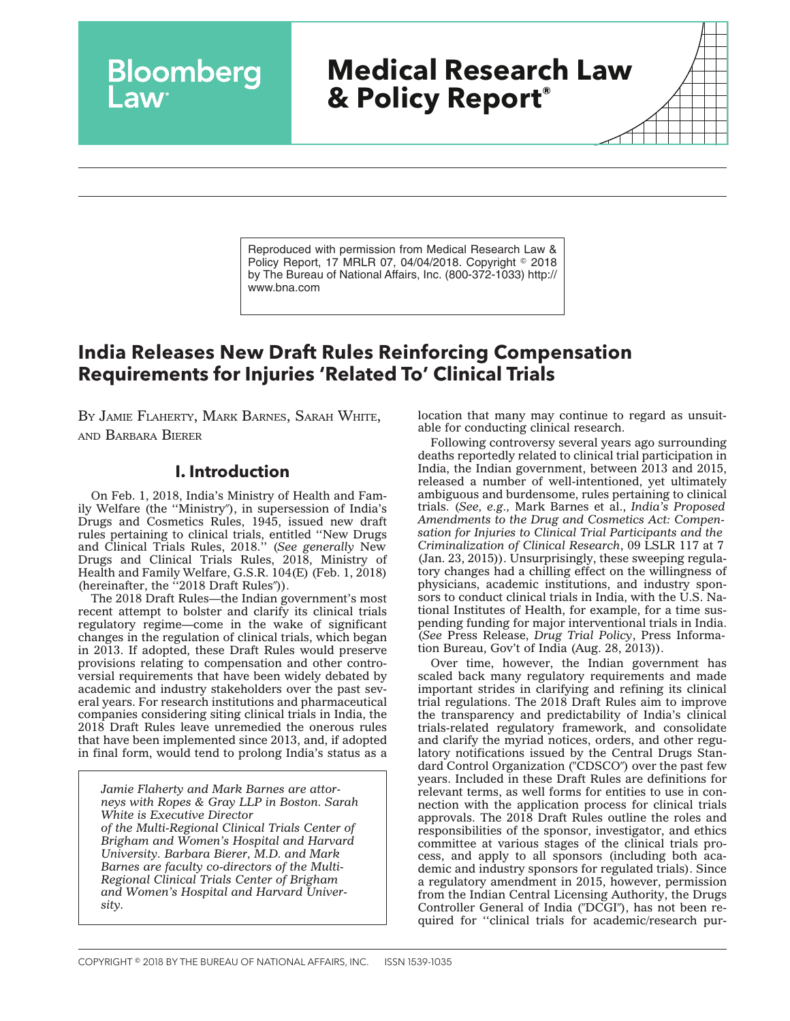# **Medical Research Law & Policy Report®**

Reproduced with permission from Medical Research Law & Policy Report, 17 MRLR 07, 04/04/2018. Copyright © 2018 by The Bureau of National Affairs, Inc. (800-372-1033) http:// www.bna.com

# **India Releases New Draft Rules Reinforcing Compensation Requirements for Injuries 'Related To' Clinical Trials**

BY JAMIE FLAHERTY, MARK BARNES, SARAH WHITE, AND BARBARA BIERER

**Bloomberg** 

## **I. Introduction**

On Feb. 1, 2018, India's Ministry of Health and Family Welfare (the "Ministry"), in supersession of India's Drugs and Cosmetics Rules, 1945, issued new draft rules pertaining to clinical trials, entitled ''New Drugs and Clinical Trials Rules, 2018.'' (*See generally* New Drugs and Clinical Trials Rules, 2018, Ministry of Health and Family Welfare, G.S.R. 104(E) (Feb. 1, 2018) (hereinafter, the "2018 Draft Rules")).

[The 2018 Draft Rules—](http://www.cdsco.nic.in/writereaddata/Draft%20CT%20Rules%20sent%20for%20Publication.pdf)the Indian government's most recent attempt to bolster and clarify its clinical trials regulatory regime—come in the wake of significant changes in the regulation of clinical trials, which began in 2013. If adopted, these Draft Rules would preserve provisions relating to compensation and other controversial requirements that have been widely debated by academic and industry stakeholders over the past several years. For research institutions and pharmaceutical companies considering siting clinical trials in India, the 2018 Draft Rules leave unremedied the onerous rules that have been implemented since 2013, and, if adopted in final form, would tend to prolong India's status as a

*Jamie Flaherty and Mark Barnes are attorneys with Ropes & Gray LLP in Boston. Sarah White is Executive Director of the Multi-Regional Clinical Trials Center of Brigham and Women's Hospital and Harvard University. Barbara Bierer, M.D. and Mark Barnes are faculty co-directors of the Multi-Regional Clinical Trials Center of Brigham and Women's Hospital and Harvard University.*

location that many may continue to regard as unsuitable for conducting clinical research.

Following controversy several years ago surrounding deaths reportedly related to clinical trial participation in India, the Indian government, between 2013 and 2015, released a number of well-intentioned, yet ultimately ambiguous and burdensome, rules pertaining to clinical trials. (*See, e.g.,* Mark Barnes et al., *India's Proposed Amendments to the Drug and Cosmetics Act: Compensation for Injuries to Clinical Trial Participants and the Criminalization of Clinical Research*, 09 LSLR 117 at 7 (Jan. 23, 2015)). Unsurprisingly, these sweeping regulatory changes had a chilling effect on the willingness of physicians, academic institutions, and industry sponsors to conduct clinical trials in India, with the U.S. National Institutes of Health, for example, for a time suspending funding for major interventional trials in India. (*See* Press Release, *Drug Trial Policy*, Press Information Bureau, Gov't of India (Aug. 28, 2013)).

Over time, however, the Indian government has scaled back many regulatory requirements and made important strides in clarifying and refining its clinical trial regulations. The 2018 Draft Rules aim to improve the transparency and predictability of India's clinical trials-related regulatory framework, and consolidate and clarify the myriad notices, orders, and other regulatory notifications issued by the Central Drugs Standard Control Organization ("CDSCO") over the past few years. Included in these Draft Rules are definitions for relevant terms, as well forms for entities to use in connection with the application process for clinical trials approvals. The 2018 Draft Rules outline the roles and responsibilities of the sponsor, investigator, and ethics committee at various stages of the clinical trials process, and apply to all sponsors (including both academic and industry sponsors for regulated trials). Since a regulatory amendment in 2015, however, permission from the Indian Central Licensing Authority, the Drugs Controller General of India ("DCGI"), has not been required for ''clinical trials for academic/research pur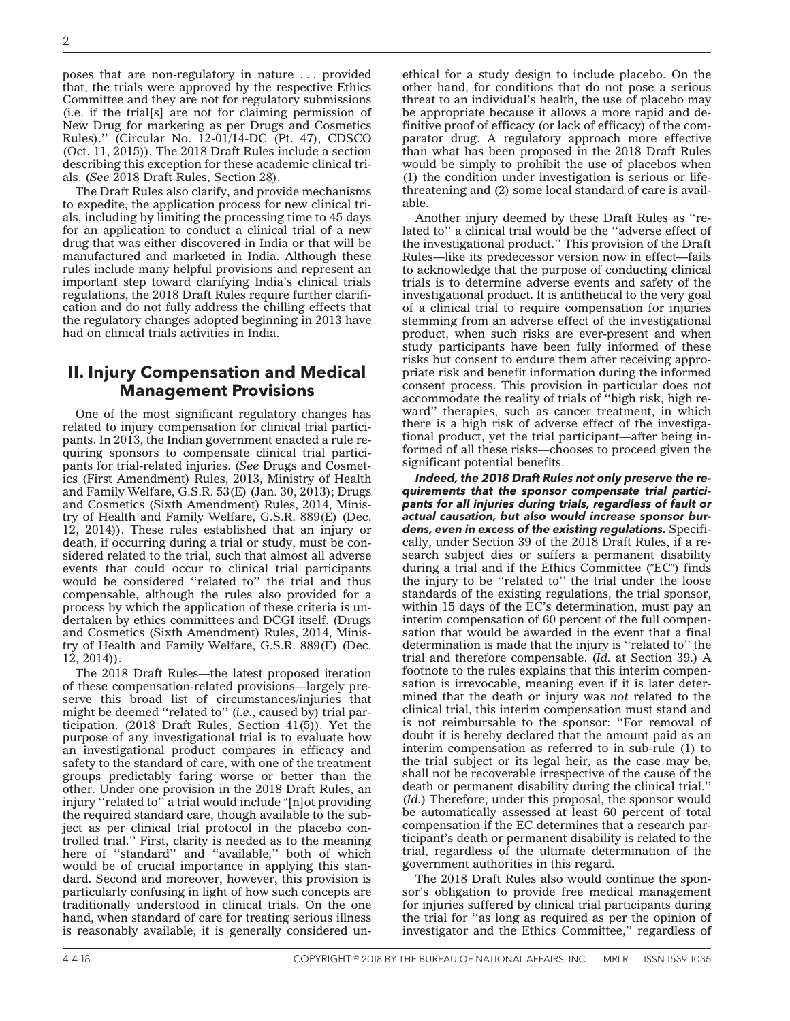poses that are non-regulatory in nature . . . provided that, the trials were approved by the respective Ethics Committee and they are not for regulatory submissions (i.e. if the trial[s] are not for claiming permission of New Drug for marketing as per Drugs and Cosmetics Rules).'' [\(Circular No. 12-01/14-DC \(Pt. 47\),](http://www.cdsco.nic.in/writereaddata/Requirement%20of%20permission%20for%20conductd.pdf) CDSCO (Oct. 11, 2015)). The 2018 Draft Rules include a section describing this exception for these academic clinical trials. (*See* 2018 Draft Rules, Section 28).

The Draft Rules also clarify, and provide mechanisms to expedite, the application process for new clinical trials, including by limiting the processing time to 45 days for an application to conduct a clinical trial of a new drug that was either discovered in India or that will be manufactured and marketed in India. Although these rules include many helpful provisions and represent an important step toward clarifying India's clinical trials regulations, the 2018 Draft Rules require further clarification and do not fully address the chilling effects that the regulatory changes adopted beginning in 2013 have had on clinical trials activities in India.

# **II. Injury Compensation and Medical Management Provisions**

One of the most significant regulatory changes has related to injury compensation for clinical trial participants. In 2013, the Indian government enacted a rule requiring sponsors to compensate clinical trial participants for trial-related injuries. (*See* Drugs and Cosmetics (First Amendment) Rules, 2013, Ministry of Health and Family Welfare, G.S.R. 53(E) (Jan. 30, 2013); Drugs and Cosmetics (Sixth Amendment) Rules, 2014, Ministry of Health and Family Welfare, G.S.R. 889(E) (Dec. 12, 2014)). These rules established that an injury or death, if occurring during a trial or study, must be considered related to the trial, such that almost all adverse events that could occur to clinical trial participants would be considered ''related to'' the trial and thus compensable, although the rules also provided for a process by which the application of these criteria is undertaken by ethics committees and DCGI itself. (Drugs and Cosmetics (Sixth Amendment) Rules, 2014, Ministry of Health and Family Welfare, G.S.R. 889(E) (Dec. 12, 2014)).

The 2018 Draft Rules—the latest proposed iteration of these compensation-related provisions—largely preserve this broad list of circumstances/injuries that might be deemed ''related to'' (*i.e.*, caused by) trial participation. (2018 Draft Rules, Section  $41(5)$ ). Yet the purpose of any investigational trial is to evaluate how an investigational product compares in efficacy and safety to the standard of care, with one of the treatment groups predictably faring worse or better than the other. Under one provision in the 2018 Draft Rules, an injury "related to" a trial would include "[n]ot providing the required standard care, though available to the subject as per clinical trial protocol in the placebo controlled trial.'' First, clarity is needed as to the meaning here of "standard" and "available," both of which would be of crucial importance in applying this standard. Second and moreover, however, this provision is particularly confusing in light of how such concepts are traditionally understood in clinical trials. On the one hand, when standard of care for treating serious illness is reasonably available, it is generally considered unethical for a study design to include placebo. On the other hand, for conditions that do not pose a serious threat to an individual's health, the use of placebo may be appropriate because it allows a more rapid and definitive proof of efficacy (or lack of efficacy) of the comparator drug. A regulatory approach more effective than what has been proposed in the 2018 Draft Rules would be simply to prohibit the use of placebos when (1) the condition under investigation is serious or lifethreatening and (2) some local standard of care is available.

Another injury deemed by these Draft Rules as ''related to'' a clinical trial would be the ''adverse effect of the investigational product.'' This provision of the Draft Rules—like its predecessor version now in effect—fails to acknowledge that the purpose of conducting clinical trials is to determine adverse events and safety of the investigational product. It is antithetical to the very goal of a clinical trial to require compensation for injuries stemming from an adverse effect of the investigational product, when such risks are ever-present and when study participants have been fully informed of these risks but consent to endure them after receiving appropriate risk and benefit information during the informed consent process. This provision in particular does not accommodate the reality of trials of ''high risk, high reward'' therapies, such as cancer treatment, in which there is a high risk of adverse effect of the investigational product, yet the trial participant—after being informed of all these risks—chooses to proceed given the significant potential benefits.

*Indeed, the 2018 Draft Rules not only preserve the requirements that the sponsor compensate trial participants for all injuries during trials, regardless of fault or actual causation, but also would increase sponsor burdens, even in excess of the existing regulations.* Specifically, under Section 39 of the 2018 Draft Rules, if a research subject dies or suffers a permanent disability during a trial and if the Ethics Committee  $(TEC'')$  finds the injury to be ''related to'' the trial under the loose standards of the existing regulations, the trial sponsor, within 15 days of the EC's determination, must pay an interim compensation of 60 percent of the full compensation that would be awarded in the event that a final determination is made that the injury is ''related to'' the trial and therefore compensable. (*Id.* at Section 39.) A footnote to the rules explains that this interim compensation is irrevocable, meaning even if it is later determined that the death or injury was *not* related to the clinical trial, this interim compensation must stand and is not reimbursable to the sponsor: ''For removal of doubt it is hereby declared that the amount paid as an interim compensation as referred to in sub-rule (1) to the trial subject or its legal heir, as the case may be, shall not be recoverable irrespective of the cause of the death or permanent disability during the clinical trial.'' (*Id.*) Therefore, under this proposal, the sponsor would be automatically assessed at least 60 percent of total compensation if the EC determines that a research participant's death or permanent disability is related to the trial, regardless of the ultimate determination of the government authorities in this regard.

The 2018 Draft Rules also would continue the sponsor's obligation to provide free medical management for injuries suffered by clinical trial participants during the trial for ''as long as required as per the opinion of investigator and the Ethics Committee,'' regardless of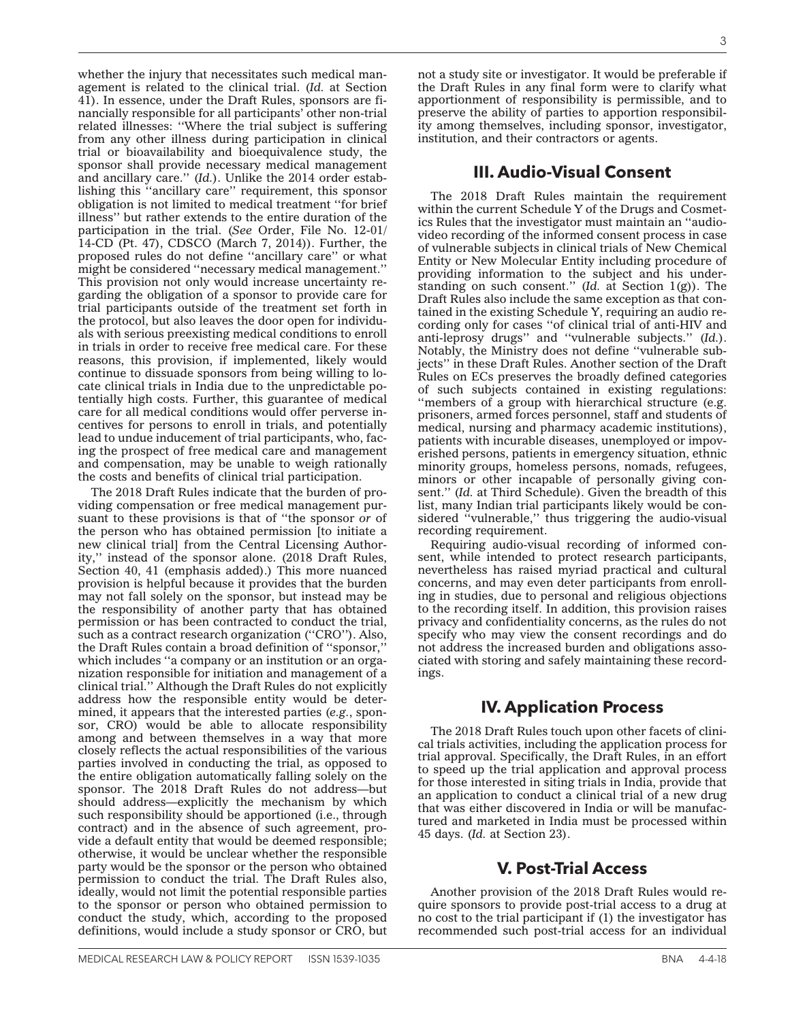whether the injury that necessitates such medical management is related to the clinical trial. (*Id.* at Section 41). In essence, under the Draft Rules, sponsors are financially responsible for all participants' other non-trial related illnesses: ''Where the trial subject is suffering from any other illness during participation in clinical trial or bioavailability and bioequivalence study, the sponsor shall provide necessary medical management and ancillary care.'' (*Id.*). Unlike the 2014 order establishing this ''ancillary care'' requirement, this sponsor obligation is not limited to medical treatment ''for brief illness'' but rather extends to the entire duration of the participation in the trial. (*See* [Order, File No. 12-01/](http://www.cdsco.nic.in/writereaddata/oo5.pdf) [14-CD \(Pt. 47\),](http://www.cdsco.nic.in/writereaddata/oo5.pdf) CDSCO (March 7, 2014)). Further, the proposed rules do not define ''ancillary care'' or what might be considered ''necessary medical management.'' This provision not only would increase uncertainty regarding the obligation of a sponsor to provide care for trial participants outside of the treatment set forth in the protocol, but also leaves the door open for individuals with serious preexisting medical conditions to enroll in trials in order to receive free medical care. For these reasons, this provision, if implemented, likely would continue to dissuade sponsors from being willing to locate clinical trials in India due to the unpredictable potentially high costs. Further, this guarantee of medical care for all medical conditions would offer perverse incentives for persons to enroll in trials, and potentially lead to undue inducement of trial participants, who, facing the prospect of free medical care and management and compensation, may be unable to weigh rationally the costs and benefits of clinical trial participation.

The 2018 Draft Rules indicate that the burden of providing compensation or free medical management pursuant to these provisions is that of ''the sponsor *or* of the person who has obtained permission [to initiate a new clinical trial] from the Central Licensing Authority,'' instead of the sponsor alone. (2018 Draft Rules, Section 40, 41 (emphasis added).) This more nuanced provision is helpful because it provides that the burden may not fall solely on the sponsor, but instead may be the responsibility of another party that has obtained permission or has been contracted to conduct the trial, such as a contract research organization ("CRO"). Also, the Draft Rules contain a broad definition of ''sponsor,'' which includes "a company or an institution or an organization responsible for initiation and management of a clinical trial.'' Although the Draft Rules do not explicitly address how the responsible entity would be determined, it appears that the interested parties (*e.g.*, sponsor, CRO) would be able to allocate responsibility among and between themselves in a way that more closely reflects the actual responsibilities of the various parties involved in conducting the trial, as opposed to the entire obligation automatically falling solely on the sponsor. The 2018 Draft Rules do not address—but should address—explicitly the mechanism by which such responsibility should be apportioned (i.e., through contract) and in the absence of such agreement, provide a default entity that would be deemed responsible; otherwise, it would be unclear whether the responsible party would be the sponsor or the person who obtained permission to conduct the trial. The Draft Rules also, ideally, would not limit the potential responsible parties to the sponsor or person who obtained permission to conduct the study, which, according to the proposed definitions, would include a study sponsor or CRO, but

not a study site or investigator. It would be preferable if the Draft Rules in any final form were to clarify what apportionment of responsibility is permissible, and to preserve the ability of parties to apportion responsibility among themselves, including sponsor, investigator, institution, and their contractors or agents.

#### **III. Audio-Visual Consent**

The 2018 Draft Rules maintain the requirement within the current Schedule Y of the Drugs and Cosmetics Rules that the investigator must maintain an ''audiovideo recording of the informed consent process in case of vulnerable subjects in clinical trials of New Chemical Entity or New Molecular Entity including procedure of providing information to the subject and his understanding on such consent.'' (*Id.* at Section 1(g)). The Draft Rules also include the same exception as that contained in the existing Schedule Y, requiring an audio recording only for cases ''of clinical trial of anti-HIV and anti-leprosy drugs'' and ''vulnerable subjects.'' (*Id.*). Notably, the Ministry does not define ''vulnerable subjects'' in these Draft Rules. Another section of the Draft Rules on ECs preserves the broadly defined categories of such subjects contained in existing regulations: "members of a group with hierarchical structure (e.g. prisoners, armed forces personnel, staff and students of medical, nursing and pharmacy academic institutions), patients with incurable diseases, unemployed or impoverished persons, patients in emergency situation, ethnic minority groups, homeless persons, nomads, refugees, minors or other incapable of personally giving consent.'' (*Id.* at Third Schedule). Given the breadth of this list, many Indian trial participants likely would be considered "vulnerable," thus triggering the audio-visual recording requirement.

Requiring audio-visual recording of informed consent, while intended to protect research participants, nevertheless has raised myriad practical and cultural concerns, and may even deter participants from enrolling in studies, due to personal and religious objections to the recording itself. In addition, this provision raises privacy and confidentiality concerns, as the rules do not specify who may view the consent recordings and do not address the increased burden and obligations associated with storing and safely maintaining these recordings.

# **IV. Application Process**

The 2018 Draft Rules touch upon other facets of clinical trials activities, including the application process for trial approval. Specifically, the Draft Rules, in an effort to speed up the trial application and approval process for those interested in siting trials in India, provide that an application to conduct a clinical trial of a new drug that was either discovered in India or will be manufactured and marketed in India must be processed within 45 days. (*Id.* at Section 23).

# **V. Post-Trial Access**

Another provision of the 2018 Draft Rules would require sponsors to provide post-trial access to a drug at no cost to the trial participant if (1) the investigator has recommended such post-trial access for an individual